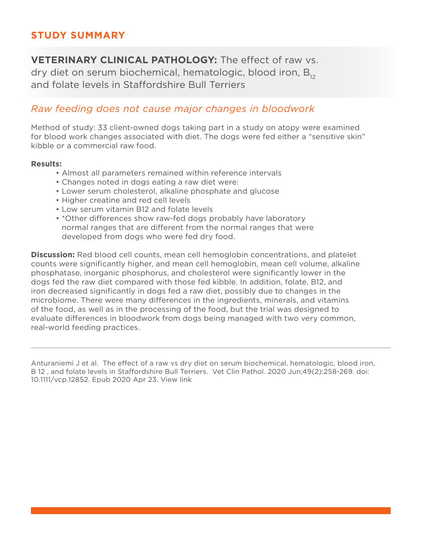# **STUDY SUMMARY**

**VETERINARY CLINICAL PATHOLOGY:** The effect of raw vs. dry diet on serum biochemical, hematologic, blood iron,  $B_{12}$ and folate levels in Staffordshire Bull Terriers

## *Raw feeding does not cause major changes in bloodwork*

Method of study: 33 client-owned dogs taking part in a study on atopy were examined for blood work changes associated with diet. The dogs were fed either a "sensitive skin" kibble or a commercial raw food.

### **Results:**

- Almost all parameters remained within reference intervals
- Changes noted in dogs eating a raw diet were:
- Lower serum cholesterol, alkaline phosphate and glucose
- Higher creatine and red cell levels
- Low serum vitamin B12 and folate levels
- \*Other differences show raw-fed dogs probably have laboratory normal ranges that are different from the normal ranges that were developed from dogs who were fed dry food.

**Discussion:** Red blood cell counts, mean cell hemoglobin concentrations, and platelet counts were significantly higher, and mean cell hemoglobin, mean cell volume, alkaline phosphatase, inorganic phosphorus, and cholesterol were significantly lower in the dogs fed the raw diet compared with those fed kibble. In addition, folate, B12, and iron decreased significantly in dogs fed a raw diet, possibly due to changes in the microbiome. There were many differences in the ingredients, minerals, and vitamins of the food, as well as in the processing of the food, but the trial was designed to evaluate differences in bloodwork from dogs being managed with two very common, real-world feeding practices.

Anturaniemi J et al. The effect of a raw vs dry diet on serum biochemical, hematologic, blood iron, B 12 , and folate levels in Staffordshire Bull Terriers. Vet Clin Pathol. 2020 Jun;49(2):258-269. doi: 10.1111/vcp.12852. Epub 2020 Apr 23. View link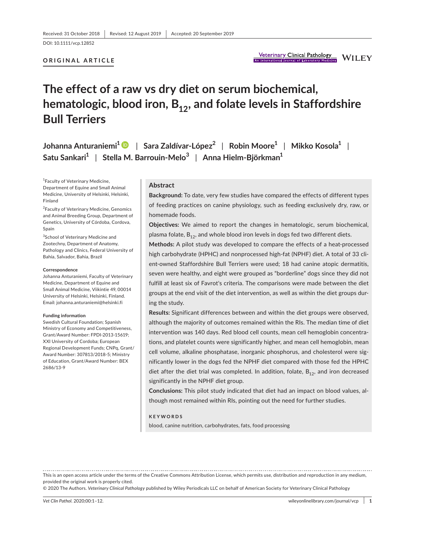DOI: 10.1111/vcp.12852

### **ORIGINAL ARTICLE**

# **The effect of a raw vs dry diet on serum biochemical,**  hematologic, blood iron, B<sub>12</sub>, and folate levels in Staffordshire **Bull Terriers**

**Johanna Anturaniemi1** | **Sara Zaldívar-López2** | **Robin Moore1** | **Mikko Kosola1** | **Satu Sankari1** | **Stella M. Barrouin-Melo<sup>3</sup>** | **Anna Hielm-Björkman1**

1 Faculty of Veterinary Medicine, Department of Equine and Small Animal Medicine, University of Helsinki, Helsinki, Finland

<sup>2</sup> Faculty of Veterinary Medicine, Genomics and Animal Breeding Group, Department of Genetics, University of Córdoba, Cordova, Spain

<sup>3</sup>School of Veterinary Medicine and Zootechny, Department of Anatomy, Pathology and Clinics, Federal University of Bahia, Salvador, Bahia, Brazil

### **Correspondence**

Johanna Anturaniemi, Faculty of Veterinary Medicine, Department of Equine and Small Animal Medicine, Viikintie 49, 00014 University of Helsinki, Helsinki, Finland. Email: johanna.anturaniemi@helsinki.fi

### **Funding information**

Swedish Cultural Foundation; Spanish Ministry of Economy and Competitiveness, Grant/Award Number: FPDI-2013-15619; XXI University of Cordoba; European Regional Development Funds; CNPq, Grant/ Award Number: 307813/2018-5; Ministry of Education, Grant/Award Number: BEX 2686/13-9

### **Abstract**

**Background:** To date, very few studies have compared the effects of different types of feeding practices on canine physiology, such as feeding exclusively dry, raw, or homemade foods.

**Objectives:** We aimed to report the changes in hematologic, serum biochemical, plasma folate,  $B_{12}$ , and whole blood iron levels in dogs fed two different diets.

**Methods:** A pilot study was developed to compare the effects of a heat-processed high carbohydrate (HPHC) and nonprocessed high-fat (NPHF) diet. A total of 33 client-owned Staffordshire Bull Terriers were used; 18 had canine atopic dermatitis, seven were healthy, and eight were grouped as "borderline" dogs since they did not fulfill at least six of Favrot's criteria. The comparisons were made between the diet groups at the end visit of the diet intervention, as well as within the diet groups during the study.

**Results:** Significant differences between and within the diet groups were observed, although the majority of outcomes remained within the RIs. The median time of diet intervention was 140 days. Red blood cell counts, mean cell hemoglobin concentrations, and platelet counts were significantly higher, and mean cell hemoglobin, mean cell volume, alkaline phosphatase, inorganic phosphorus, and cholesterol were significantly lower in the dogs fed the NPHF diet compared with those fed the HPHC diet after the diet trial was completed. In addition, folate,  $B_{12}$ , and iron decreased significantly in the NPHF diet group.

**Conclusions:** This pilot study indicated that diet had an impact on blood values, although most remained within RIs, pointing out the need for further studies.

### **KEYWORDS**

blood, canine nutrition, carbohydrates, fats, food processing

This is an open access article under the terms of the Creative Commons Attribution License, which permits use, distribution and reproduction in any medium, provided the original work is properly cited.

© 2020 The Authors. *Veterinary Clinical Pathology* published by Wiley Periodicals LLC on behalf of American Society for Veterinary Clinical Pathology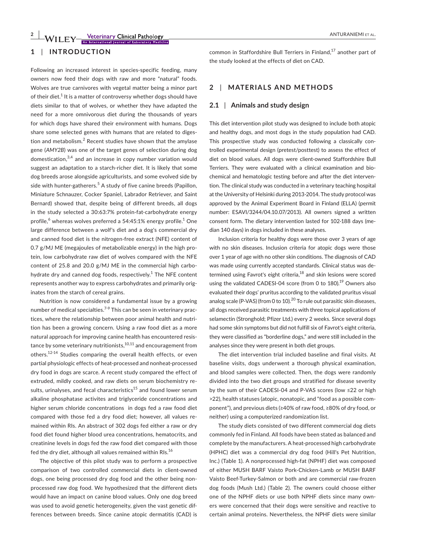### **1** | **INTRODUCTION**

Following an increased interest in species-specific feeding, many owners now feed their dogs with raw and more "natural" foods. Wolves are true carnivores with vegetal matter being a minor part of their diet. $^1$  It is a matter of controversy whether dogs should have diets similar to that of wolves, or whether they have adapted the need for a more omnivorous diet during the thousands of years for which dogs have shared their environment with humans. Dogs share some selected genes with humans that are related to digestion and metabolism. $^2$  Recent studies have shown that the amylase gene (*AMY2B*) was one of the target genes of selection during dog domestication, $^{3,4}$  and an increase in copy number variation would suggest an adaptation to a starch-richer diet. It is likely that some dog breeds arose alongside agriculturists, and some evolved side by side with hunter-gatherers.<sup>5</sup> A study of five canine breeds (Papillon, Miniature Schnauzer, Cocker Spaniel, Labrador Retriever, and Saint Bernard) showed that, despite being of different breeds, all dogs in the study selected a 30:63:7% protein-fat-carbohydrate energy profile, $^6$  whereas wolves preferred a 54:45:1% energy profile. $^1$  One large difference between a wolf's diet and a dog's commercial dry and canned food diet is the nitrogen-free extract (NFE) content of 0.7 g/MJ ME (megajoules of metabolizable energy) in the high protein, low carbohydrate raw diet of wolves compared with the NFE content of 25.8 and 20.0 g/MJ ME in the commercial high carbohydrate dry and canned dog foods, respectively. $^{\rm 1}$  The NFE content represents another way to express carbohydrates and primarily originates from the starch of cereal grains.

Nutrition is now considered a fundamental issue by a growing number of medical specialties.<sup>7-9</sup> This can be seen in veterinary practices, where the relationship between poor animal health and nutrition has been a growing concern. Using a raw food diet as a more natural approach for improving canine health has encountered resistance by some veterinary nutritionists, $^{10,11}$  and encouragement from others.<sup>12-14</sup> Studies comparing the overall health effects, or even partial physiologic effects of heat-processed and nonheat-processed dry food in dogs are scarce. A recent study compared the effect of extruded, mildly cooked, and raw diets on serum biochemistry results, urinalyses, and fecal characteristics $^{15}$  and found lower serum alkaline phosphatase activites and triglyceride concentrations and higher serum chloride concentrations in dogs fed a raw food diet compared with those fed a dry food diet; however, all values remained within RIs. An abstract of 302 dogs fed either a raw or dry food diet found higher blood urea concentrations, hematocrits, and creatinine levels in dogs fed the raw food diet compared with those fed the dry diet, although all values remained within RIs. $^{16}$ 

The objective of this pilot study was to perform a prospective comparison of two controlled commercial diets in client-owned dogs, one being processed dry dog food and the other being nonprocessed raw dog food. We hypothesized that the different diets would have an impact on canine blood values. Only one dog breed was used to avoid genetic heterogeneity, given the vast genetic differences between breeds. Since canine atopic dermatitis (CAD) is common in Staffordshire Bull Terriers in Finland, $17$  another part of the study looked at the effects of diet on CAD.

### **2** | **MATERIALS AND METHODS**

### **2.1** | **Animals and study design**

This diet intervention pilot study was designed to include both atopic and healthy dogs, and most dogs in the study population had CAD. This prospective study was conducted following a classically controlled experimental design (pretest/posttest) to assess the effect of diet on blood values. All dogs were client-owned Staffordshire Bull Terriers. They were evaluated with a clinical examination and biochemical and hematologic testing before and after the diet intervention. The clinical study was conducted in a veterinary teaching hospital at the University of Helsinki during 2013-2014. The study protocol was approved by the Animal Experiment Board in Finland (ELLA) (permit number: ESAVI/3244/04.10.07/2013). All owners signed a written consent form. The dietary intervention lasted for 102-188 days (median 140 days) in dogs included in these analyses.

Inclusion criteria for healthy dogs were those over 3 years of age with no skin diseases. Inclusion criteria for atopic dogs were those over 1 year of age with no other skin conditions. The diagnosis of CAD was made using currently accepted standards. Clinical status was determined using Favrot's eight criteria, $^{18}$  and skin lesions were scored using the validated CADESI-04 score (from 0 to 180).<sup>19</sup> Owners also evaluated their dogs' pruritus according to the validated pruritus visual analog scale (P-VAS) (from 0 to 10).<sup>20</sup> To rule out parasitic skin diseases, all dogs received parasitic treatments with three topical applications of selamectin (Stronghold; Pfizer Ltd.) every 2 weeks. Since several dogs had some skin symptoms but did not fulfill six of Favrot's eight criteria, they were classified as "borderline dogs," and were still included in the analyses since they were present in both diet groups.

The diet intervention trial included baseline and final visits. At baseline visits, dogs underwent a thorough physical examination, and blood samples were collected. Then, the dogs were randomly divided into the two diet groups and stratified for disease severity by the sum of their CADESI-04 and P-VAS scores (low ≤22 or high >22), health statuses (atopic, nonatopic, and "food as a possible component"), and previous diets (≥40% of raw food, ≥80% of dry food, or neither) using a computerized randomization list.

The study diets consisted of two different commercial dog diets commonly fed in Finland. All foods have been stated as balanced and complete by the manufacturers. A heat-processed high carbohydrate (HPHC) diet was a commercial dry dog food (Hill's Pet Nutrition, Inc.) (Table 1). A nonprocessed high-fat (NPHF) diet was composed of either MUSH BARF Vaisto Pork-Chicken-Lamb or MUSH BARF Vaisto Beef-Turkey-Salmon or both and are commercial raw-frozen dog foods (Mush Ltd.) (Table 2). The owners could choose either one of the NPHF diets or use both NPHF diets since many owners were concerned that their dogs were sensitive and reactive to certain animal proteins. Nevertheless, the NPHF diets were similar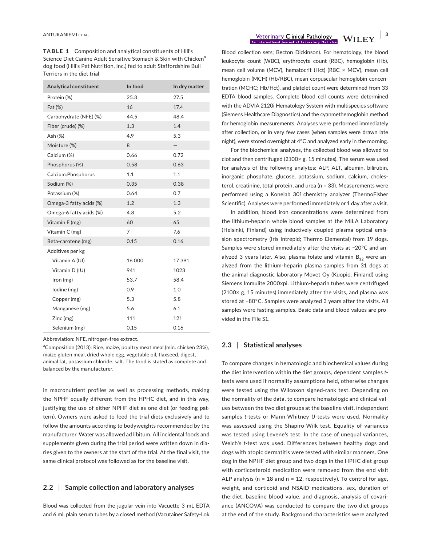**TABLE 1** Composition and analytical constituents of Hill's Science Diet Canine Adult Sensitive Stomach & Skin with Chicken<sup>a</sup> dog food (Hill's Pet Nutrition, Inc.) fed to adult Staffordshire Bull Terriers in the diet trial

| Analytical constituent  | In food        | In dry matter |
|-------------------------|----------------|---------------|
| Protein (%)             | 25.3           | 27.5          |
| Fat (%)                 | 16             | 17.4          |
| Carbohydrate (NFE) (%)  | 44.5           | 48.4          |
| Fiber (crude) (%)       | 1.3            | 1.4           |
| Ash (%)                 | 4.9            | 5.3           |
| Moisture (%)            | 8              | —             |
| Calcium (%)             | 0.66           | 0.72          |
| Phosphorus (%)          | 0.58           | 0.63          |
| Calcium: Phosphorus     | 1.1            | 1.1           |
| Sodium (%)              | 0.35           | 0.38          |
| Potassium (%)           | 0.64           | 0.7           |
| Omega-3 fatty acids (%) | 1.2            | 1.3           |
| Omega-6 fatty acids (%) | 4.8            | 5.2           |
| Vitamin E (mg)          | 60             | 65            |
| Vitamin C (mg)          | $\overline{7}$ | 7.6           |
| Beta-carotene (mg)      | 0.15           | 0.16          |
| Additives per kg        |                |               |
| Vitamin A (IU)          | 16 000         | 17391         |
| Vitamin D (IU)          | 941            | 1023          |
| lron(mg)                | 53.7           | 58.4          |
| lodine (mg)             | 0.9            | 1.0           |
| Copper (mg)             | 5.3            | 5.8           |
| Manganese (mg)          | 5.6            | 6.1           |
| Zinc (mg)               | 111            | 121           |
| Selenium (mg)           | 0.15           | 0.16          |

Abbreviation: NFE, nitrogen-free extract.

<sup>a</sup>Composition (2013): Rice, maize, poultry meat meal (min. chicken 23%), maize gluten meal, dried whole egg, vegetable oil, flaxseed, digest, animal fat, potassium chloride, salt. The food is stated as complete and balanced by the manufacturer.

in macronutrient profiles as well as processing methods, making the NPHF equally different from the HPHC diet, and in this way, justifying the use of either NPHF diet as one diet (or feeding pattern). Owners were asked to feed the trial diets exclusively and to follow the amounts according to bodyweights recommended by the manufacturer. Water was allowed ad libitum. All incidental foods and supplements given during the trial period were written down in diaries given to the owners at the start of the trial. At the final visit, the same clinical protocol was followed as for the baseline visit.

### **2.2** | **Sample collection and laboratory analyses**

Blood was collected from the jugular vein into Vacuette 3 mL EDTA and 6 mL plain serum tubes by a closed method (Vacutainer Safety-Lok

**ANTURANIEMI** ET AL. **ANTURANIEMI ET AL. AND INCORPORATION CONTAINING A SUBSEXUAL ADDITIONAL OF LABORATION Medicine**  $\blacksquare$  **WILEY** 

Blood collection sets; Becton Dickinson). For hematology, the blood leukocyte count (WBC), erythrocyte count (RBC), hemoglobin (Hb), mean cell volume (MCV), hematocrit (Hct) (RBC × MCV), mean cell hemoglobin (MCH) (Hb/RBC), mean corpuscular hemoglobin concentration (MCHC; Hb/Hct), and platelet count were determined from 33 EDTA blood samples. Complete blood cell counts were determined with the ADVIA 2120i Hematology System with multispecies software (Siemens Healthcare Diagnostics) and the cyanmethemoglobin method for hemoglobin measurements. Analyses were performed immediately after collection, or in very few cases (when samples were drawn late night), were stored overnight at 4°C and analyzed early in the morning.

For the biochemical analyses, the collected blood was allowed to clot and then centrifuged (2100× g, 15 minutes). The serum was used for analysis of the following analytes: ALP, ALT, albumin, bilirubin, inorganic phosphate, glucose, potassium, sodium, calcium, cholesterol, creatinine, total protein, and urea (n = 33). Measurements were performed using a Konelab 30*i* chemistry analyzer (ThermoFisher Scientific). Analyses were performed immediately or 1 day after a visit.

In addition, blood iron concentrations were determined from the lithium-heparin whole blood samples at the MILA Laboratory (Helsinki, Finland) using inductively coupled plasma optical emission spectrometry (Iris Intrepid; Thermo Elemental) from 19 dogs. Samples were stored immediately after the visits at −20°C and analyzed 3 years later. Also, plasma folate and vitamin  $B_{12}$  were analyzed from the lithium-heparin plasma samples from 31 dogs at the animal diagnostic laboratory Movet Oy (Kuopio, Finland) using Siemens Immulite 2000xpi. Lithium-heparin tubes were centrifuged (2100× g, 15 minutes) immediately after the visits, and plasma was stored at −80°C. Samples were analyzed 3 years after the visits. All samples were fasting samples. Basic data and blood values are provided in the File S1.

### **2.3** | **Statistical analyses**

To compare changes in hematologic and biochemical values during the diet intervention within the diet groups, dependent samples *t*tests were used if normality assumptions held, otherwise changes were tested using the Wilcoxon signed-rank test. Depending on the normality of the data, to compare hematologic and clinical values between the two diet groups at the baseline visit, independent samples *t*-tests or Mann-Whitney *U*-tests were used. Normality was assessed using the Shapiro-Wilk test. Equality of variances was tested using Levene's test. In the case of unequal variances, Welch's *t*-test was used. Differences between healthy dogs and dogs with atopic dermatitis were tested with similar manners. One dog in the NPHF diet group and two dogs in the HPHC diet group with corticosteroid medication were removed from the end visit ALP analysis ( $n = 18$  and  $n = 12$ , respectively). To control for age, weight, and corticoid and NSAID medications, sex, duration of the diet, baseline blood value, and diagnosis, analysis of covariance (ANCOVA) was conducted to compare the two diet groups at the end of the study. Background characteristics were analyzed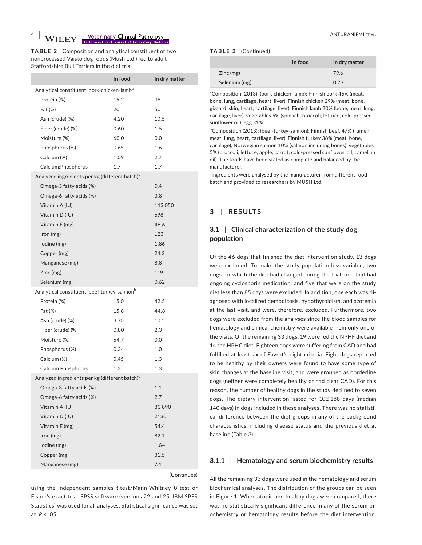**4 Yeterinary Clinical Pathology <b>ANTURANIEMI ET AL.** ANTURANIEMI ET AL.

**TABLE 2** Composition and analytical constituent of two nonprocessed Vaisto dog foods (Mush Ltd.) fed to adult Staffordshire Bull Terriers in the diet trial

|                                                            | In food | In dry matter |  |  |
|------------------------------------------------------------|---------|---------------|--|--|
| Analytical constituent, pork-chicken-lamb <sup>a</sup>     |         |               |  |  |
| Protein (%)                                                | 15.2    | 38            |  |  |
| Fat (%)                                                    | 20      | 50            |  |  |
| Ash (crude) (%)                                            | 4.20    | 10.5          |  |  |
| Fiber (crude) (%)                                          | 0.60    | 1.5           |  |  |
| Moisture (%)                                               | 60.0    | 0.0           |  |  |
| Phosphorus (%)                                             | 0.65    | 1.6           |  |  |
| Calcium (%)                                                | 1.09    | 2.7           |  |  |
| Calcium: Phosphorus                                        | 1.7     | 1.7           |  |  |
| Analyzed ingredients per kg (different batch) <sup>c</sup> |         |               |  |  |
| Omega-3 fatty acids (%)                                    |         | 0.4           |  |  |
| Omega-6 fatty acids (%)                                    |         | 3.8           |  |  |
| Vitamin A (IU)                                             |         | 143 050       |  |  |
| Vitamin D (IU)                                             |         | 698           |  |  |
| Vitamin E (mg)                                             |         | 46.6          |  |  |
| Iron (mg)                                                  |         | 123           |  |  |
| lodine (mg)                                                |         | 1.86          |  |  |
| Copper (mg)                                                |         | 24.2          |  |  |
| Manganese (mg)                                             |         | 8.8           |  |  |
| Zinc (mg)                                                  |         | 119           |  |  |
| Selenium (mg)                                              |         | 0.62          |  |  |
| Analytical constituent, beef-turkey-salmon <sup>b</sup>    |         |               |  |  |
| Protein (%)                                                | 15.0    | 42.5          |  |  |
| Fat (%)                                                    | 15.8    | 44.8          |  |  |
| Ash (crude) (%)                                            | 3.70    | 10.5          |  |  |
| Fiber (crude) (%)                                          | 0.80    | 2.3           |  |  |
| Moisture (%)                                               | 64.7    | 0.0           |  |  |
| Phosphorus (%)                                             | 0.34    | 1.0           |  |  |
| Calcium (%)                                                | 0.45    | 1.3           |  |  |
| Calcium: Phosphorus                                        | 1.3     | 1.3           |  |  |
| Analyzed ingredients per kg (different batch) <sup>c</sup> |         |               |  |  |
| Omega-3 fatty acids (%)                                    |         | 1.1           |  |  |
| Omega-6 fatty acids (%)                                    |         | 2.7           |  |  |
| Vitamin A (IU)                                             |         | 80890         |  |  |
| Vitamin D (IU)                                             |         | 2130          |  |  |
| Vitamin E (mg)                                             |         | 54.4          |  |  |
| lron(mg)                                                   |         | 82.1          |  |  |
| lodine (mg)                                                |         | 1.64          |  |  |
| Copper (mg)                                                |         | 31.5          |  |  |
| Manganese (mg)                                             |         | 7.4           |  |  |
|                                                            |         | (Continues)   |  |  |

using the independent samples *t*-test/Mann-Whitney *U*-test or Fisher's exact test. SPSS software (versions 22 and 25; IBM SPSS Statistics) was used for all analyses. Statistical significance was set at *P* < .05.

### **TABLE 2** (Continued)

|               | In food | In dry matter |
|---------------|---------|---------------|
| Zinc(mg)      |         | 79.6          |
| Selenium (mg) |         | 0.73          |

<sup>a</sup>Composition (2013): (pork-chicken-lamb): Finnish pork 46% (meat, bone, lung, cartilage, heart, liver), Finnish chicken 29% (meat, bone, gizzard, skin, heart, cartilage, liver), Finnish lamb 20% (bone, meat, lung, cartilage, liver), vegetables 5% (spinach, broccoli, lettuce, cold-pressed sunflower oil), egg <1%.

<sup>b</sup>Composition (2013): (beef-turkey-salmon): Finnish beef, 47% (rumen, meat, lung, heart, cartilage, liver), Finnish turkey 38% (meat, bone, cartilage), Norwegian salmon 10% (salmon including bones), vegetables 5% (broccoli, lettuce, apple, carrot, cold-pressed sunflower oil, camelina oil). The foods have been stated as complete and balanced by the manufacturer.

<sup>c</sup>Ingredients were analysed by the manufacturer from different food batch and provided to researchers by MUSH Ltd.

### **3** | **RESULTS**

### **3.1** | **Clinical characterization of the study dog population**

Of the 46 dogs that finished the diet intervention study, 13 dogs were excluded. To make the study population less variable, two dogs for which the diet had changed during the trial, one that had ongoing cyclosporin medication, and five that were on the study diet less than 85 days were excluded. In addition, one each was diagnosed with localized demodicosis, hypothyroidism, and azotemia at the last visit, and were, therefore, excluded. Furthermore, two dogs were excluded from the analyses since the blood samples for hematology and clinical chemistry were available from only one of the visits. Of the remaining 33 dogs, 19 were fed the NPHF diet and 14 the HPHC diet. Eighteen dogs were suffering from CAD and had fulfilled at least six of Favrot's eight criteria. Eight dogs reported to be healthy by their owners were found to have some type of skin changes at the baseline visit, and were grouped as borderline dogs (neither were completely healthy or had clear CAD). For this reason, the number of healthy dogs in the study declined to seven dogs. The dietary intervention lasted for 102-188 days (median 140 days) in dogs included in these analyses. There was no statistical difference between the diet groups in any of the background characteristics, including disease status and the previous diet at baseline (Table 3).

### **3.1.1** | **Hematology and serum biochemistry results**

All the remaining 33 dogs were used in the hematology and serum biochemical analyses. The distribution of the groups can be seen in Figure 1. When atopic and healthy dogs were compared, there was no statistically significant difference in any of the serum biochemistry or hematology results before the diet intervention.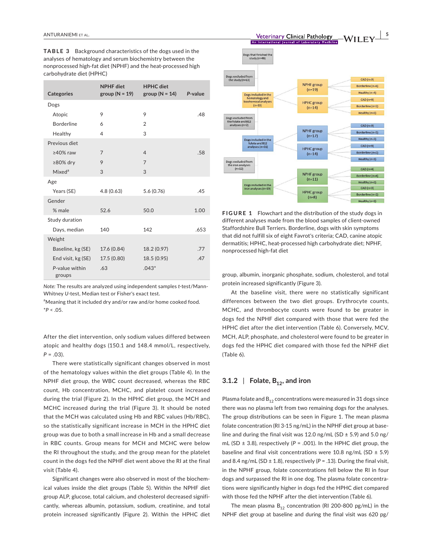**TABLE 3** Background characteristics of the dogs used in the analyses of hematology and serum biochemistry between the nonprocessed high-fat diet (NPHF) and the heat-processed high carbohydrate diet (HPHC)

| <b>Categories</b>        | <b>NPHF</b> diet<br>group ( $N = 19$ ) | <b>HPHC</b> diet<br>group ( $N = 14$ ) | P-value |
|--------------------------|----------------------------------------|----------------------------------------|---------|
| Dogs                     |                                        |                                        |         |
| Atopic                   | 9                                      | 9                                      | .48     |
| <b>Borderline</b>        | 6                                      | 2                                      |         |
| Healthy                  | 4                                      | 3                                      |         |
| Previous diet            |                                        |                                        |         |
| $\geq$ 40% raw           | 7                                      | $\overline{4}$                         | .58     |
| $\geq 80\%$ dry          | 9                                      | $\overline{7}$                         |         |
| Mixed <sup>a</sup>       | 3                                      | 3                                      |         |
| Age                      |                                        |                                        |         |
| Years (SE)               | 4.8(0.63)                              | 5.6(0.76)                              | .45     |
| Gender                   |                                        |                                        |         |
| % male                   | 52.6                                   | 50.0                                   | 1.00    |
| Study duration           |                                        |                                        |         |
| Days, median             | 140                                    | 142                                    | .653    |
| Weight                   |                                        |                                        |         |
| Baseline, kg (SE)        | 17.6 (0.84)                            | 18.2 (0.97)                            | .77     |
| End visit, kg (SE)       | 17.5 (0.80)                            | 18.5(0.95)                             | .47     |
| P-value within<br>groups | .63                                    | $.043*$                                |         |

*Note:* The results are analyzed using independent samples *t*-test/Mann-Whitney *U*-test, Median test or Fisher's exact test.

<sup>a</sup>Meaning that it included dry and/or raw and/or home cooked food. \**P* < .05.

After the diet intervention, only sodium values differed between atopic and healthy dogs (150.1 and 148.4 mmol/L, respectively, *P* = .03).

There were statistically significant changes observed in most of the hematology values within the diet groups (Table 4). In the NPHF diet group, the WBC count decreased, whereas the RBC count, Hb concentration, MCHC, and platelet count increased during the trial (Figure 2). In the HPHC diet group, the MCH and MCHC increased during the trial (Figure 3). It should be noted that the MCH was calculated using Hb and RBC values (Hb/RBC), so the statistically significant increase in MCH in the HPHC diet group was due to both a small increase in Hb and a small decrease in RBC counts. Group means for MCH and MCHC were below the RI throughout the study, and the group mean for the platelet count in the dogs fed the NPHF diet went above the RI at the final visit (Table 4).

Significant changes were also observed in most of the biochemical values inside the diet groups (Table 5). Within the NPHF diet group ALP, glucose, total calcium, and cholesterol decreased significantly, whereas albumin, potassium, sodium, creatinine, and total protein increased significantly (Figure 2). Within the HPHC diet



**NPHF** group Borderline (n=4)  $(n=11)$ Healthy  $(n=3)$ Dogs included in the<br>iron analyses (n=<mark>1</mark>9  $CAD (n=3)$ **HPHC** group Borderline (n=2)  $(n=8)$ Healthy  $(n=3)$ **FIGURE 1** Flowchart and the distribution of the study dogs in different analyses made from the blood samples of client-owned Staffordshire Bull Terriers. Borderline, dogs with skin symptoms

that did not fulfill six of eight Favrot's criteria; CAD, canine atopic dermatitis; HPHC, heat-processed high carbohydrate diet; NPHF, nonprocessed high-fat diet

group, albumin, inorganic phosphate, sodium, cholesterol, and total protein increased significantly (Figure 3).

At the baseline visit, there were no statistically significant differences between the two diet groups. Erythrocyte counts, MCHC, and thrombocyte counts were found to be greater in dogs fed the NPHF diet compared with those that were fed the HPHC diet after the diet intervention (Table 6). Conversely, MCV, MCH, ALP, phosphate, and cholesterol were found to be greater in dogs fed the HPHC diet compared with those fed the NPHF diet (Table 6).

### $3.1.2$  | Folate,  $B_{12}$ , and iron

Dogs excluded from ron anai<br>(n=12)

Plasma folate and  $B_{12}$  concentrations were measured in 31 dogs since there was no plasma left from two remaining dogs for the analyses. The group distributions can be seen in Figure 1. The mean plasma folate concentration (RI 3-15 ng/mL) in the NPHF diet group at baseline and during the final visit was 12.0 ng/mL (SD  $\pm$  5.9) and 5.0 ng/ mL (SD ± 3.8), respectively (*P* = .001). In the HPHC diet group, the baseline and final visit concentrations were 10.8 ng/mL (SD  $\pm$  5.9) and 8.4 ng/mL (SD  $\pm$  1.8), respectively ( $P = .13$ ). During the final visit, in the NPHF group, folate concentrations fell below the RI in four dogs and surpassed the RI in one dog. The plasma folate concentrations were significantly higher in dogs fed the HPHC diet compared with those fed the NPHF after the diet intervention (Table 6).

The mean plasma  $B_{12}$  concentration (RI 200-800 pg/mL) in the NPHF diet group at baseline and during the final visit was 620 pg/

Healthy  $(n=3)$ 

 $CAD(n=4)$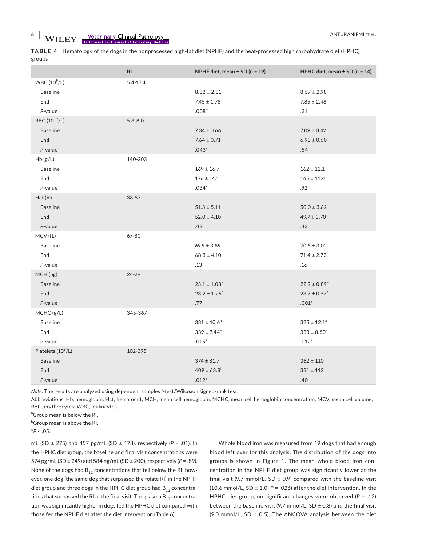**6**  $\bullet$  **WILEY** Setermary Clinical Pathology **and Construction** and Construction and Construction and Construction and Construction and Construction and Construction and Construction and Construction and Construction and

**TABLE 4** Hematology of the dogs in the nonprocessed high-fat diet (NPHF) and the heat-processed high carbohydrate diet (HPHC) groups

|                                | RI           | NPHF diet, mean $\pm$ SD (n = 19) | HPHC diet, mean $\pm$ SD (n = 14) |
|--------------------------------|--------------|-----------------------------------|-----------------------------------|
| WBC $(10^9/L)$                 | $5.4 - 17.4$ |                                   |                                   |
| <b>Baseline</b>                |              | $8.82 \pm 2.81$                   | $8.57 \pm 2.98$                   |
| End                            |              | $7.45 \pm 1.78$                   | $7.85 \pm 2.48$                   |
| P-value                        |              | $.008*$                           | .31                               |
| RBC (10 <sup>12</sup> /L)      | $5.3 - 8.0$  |                                   |                                   |
| <b>Baseline</b>                |              | $7.34 \pm 0.66$                   | $7.09 \pm 0.42$                   |
| End                            |              | $7.64 \pm 0.71$                   | $6.98 \pm 0.60$                   |
| P-value                        |              | $.043*$                           | .54                               |
| Hb(g/L)                        | 140-203      |                                   |                                   |
| <b>Baseline</b>                |              | $169 \pm 16.7$                    | $162 \pm 11.1$                    |
| End                            |              | $176 \pm 14.1$                    | $165 \pm 11.4$                    |
| P-value                        |              | $.034*$                           | .92                               |
| Hct (%)                        | 38-57        |                                   |                                   |
| <b>Baseline</b>                |              | $51.3 \pm 5.11$                   | $50.0 \pm 3.62$                   |
| End                            |              | $52.0 \pm 4.10$                   | $49.7 \pm 3.70$                   |
| P-value                        |              | .48                               | .43                               |
| MCV (fL)                       | 67-80        |                                   |                                   |
| <b>Baseline</b>                |              | $69.9 \pm 3.89$                   | $70.5 \pm 3.02$                   |
| End                            |              | $68.3 \pm 4.10$                   | $71.4 \pm 2.72$                   |
| P-value                        |              | .13                               | .16                               |
| MCH (pg)                       | 24-29        |                                   |                                   |
| <b>Baseline</b>                |              | $23.1 \pm 1.08^a$                 | $22.9 \pm 0.89$ <sup>a</sup>      |
| End                            |              | $23.2 \pm 1.25^a$                 | $23.7 \pm 0.92$ <sup>a</sup>      |
| P-value                        |              | .77                               | $.001*$                           |
| MCHC (g/L)                     | 345-367      |                                   |                                   |
| <b>Baseline</b>                |              | $331 \pm 10.6^a$                  | $325 \pm 12.1^a$                  |
| End                            |              | $339 \pm 7.44^a$                  | $333 \pm 8.50^a$                  |
| P-value                        |              | $.015*$                           | $.012*$                           |
| Platelets (10 <sup>9</sup> /L) | 102-395      |                                   |                                   |
| <b>Baseline</b>                |              | $374 \pm 81.7$                    | $362 \pm 110$                     |
| End                            |              | $409 \pm 63.8^{\rm b}$            | $331 \pm 112$                     |
| P-value                        |              | $.012*$                           | .40                               |
|                                |              |                                   |                                   |

*Note:* The results are analyzed using dependent samples *t*-test/Wilcoxon signed-rank test.

Abbreviations: Hb, hemoglobin; Hct, hematocrit; MCH, mean cell hemoglobin; MCHC, mean cell hemoglobin concentration; MCV, mean cell volume; RBC, erythrocytes; WBC, leukocytes.

<sup>a</sup>Group mean is below the RI.

<sup>b</sup>Group mean is above the RI.

 $*P < .05$ .

mL (SD ± 275) and 457 pg/mL (SD ± 178), respectively (*P* = .01). In the HPHC diet group, the baseline and final visit concentrations were 574 pg/mL (SD ± 249) and 584 ng/mL (SD ± 200), respectively (*P* = .89). None of the dogs had  $B_{12}$  concentrations that fell below the RI; however, one dog (the same dog that surpassed the folate RI) in the NPHF diet group and three dogs in the HPHC diet group had  $B_{12}$  concentrations that surpassed the RI at the final visit. The plasma  $B_{12}$  concentration was significantly higher in dogs fed the HPHC diet compared with those fed the NPHF diet after the diet intervention (Table 6).

Whole blood iron was measured from 19 dogs that had enough blood left over for this analysis. The distribution of the dogs into groups is shown in Figure 1. The mean whole blood iron concentration in the NPHF diet group was significantly lower at the final visit (9.7 mmol/L, SD  $\pm$  0.9) compared with the baseline visit (10.6 mmol/L, SD  $\pm$  1.0;  $P = .026$ ) after the diet intervention. In the HPHC diet group, no significant changes were observed (*P* = .12) between the baseline visit (9.7 mmol/L,  $SD \pm 0.8$ ) and the final visit (9.0 mmol/L, SD  $\pm$  0.5). The ANCOVA analysis between the diet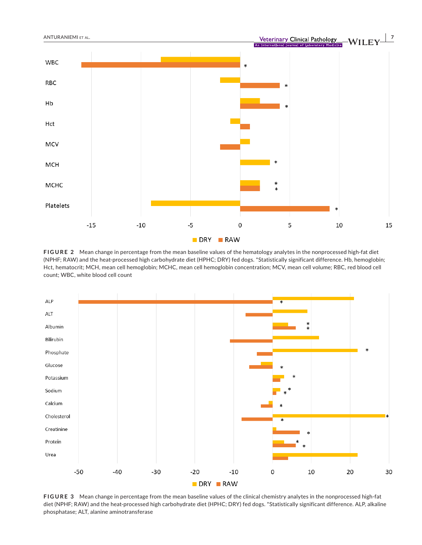

**FIGURE 2** Mean change in percentage from the mean baseline values of the hematology analytes in the nonprocessed high-fat diet (NPHF; RAW) and the heat-processed high carbohydrate diet (HPHC; DRY) fed dogs. \*Statistically significant difference. Hb, hemoglobin; Hct, hematocrit; MCH, mean cell hemoglobin; MCHC, mean cell hemoglobin concentration; MCV, mean cell volume; RBC, red blood cell count; WBC, white blood cell count



**FIGURE 3** Mean change in percentage from the mean baseline values of the clinical chemistry analytes in the nonprocessed high-fat diet (NPHF; RAW) and the heat-processed high carbohydrate diet (HPHC; DRY) fed dogs. \*Statistically significant difference. ALP, alkaline phosphatase; ALT, alanine aminotransferase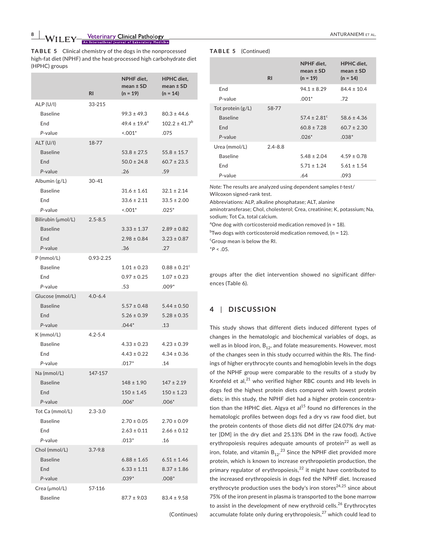**TABLE 5** Clinical chemistry of the dogs in the nonprocessed high-fat diet (NPHF) and the heat-processed high carbohydrate diet (HPHC) groups

|                                                         |             | NPHF diet.<br>mean $\pm$ SD                       | <b>HPHC</b> diet,<br>mean $\pm$ SD                  |
|---------------------------------------------------------|-------------|---------------------------------------------------|-----------------------------------------------------|
|                                                         | <b>RI</b>   | $(n = 19)$                                        | $(n = 14)$                                          |
| ALP (U/I)<br><b>Baseline</b><br>End<br>P-value          | 33-215      | $99.3 \pm 49.3$<br>$49.4 \pm 19.4^a$<br>$< 0.01*$ | $80.3 \pm 44.6$<br>$102.2 \pm 41.7^{\circ}$<br>.075 |
| ALT (U/I)<br><b>Baseline</b><br>End<br>P-value          | 18-77       | $53.8 \pm 27.5$<br>$50.0 \pm 24.8$<br>.26         | $55.8 \pm 15.7$<br>$60.7 \pm 23.5$<br>.59           |
| Albumin (g/L)<br><b>Baseline</b><br>End<br>P-value      | $30 - 41$   | $31.6 \pm 1.61$<br>$33.6 \pm 2.11$<br>$< .001*$   | $32.1 \pm 2.14$<br>$33.5 \pm 2.00$<br>$.025*$       |
| Bilirubin (µmol/L)<br><b>Baseline</b><br>End<br>P-value | $2.5 - 8.5$ | $3.33 \pm 1.37$<br>$2.98 \pm 0.84$<br>.36         | $2.89 \pm 0.82$<br>$3.23 \pm 0.87$<br>.27           |
| $P$ (mmol/L)<br><b>Baseline</b><br>End<br>P-value       | 0.93-2.25   | $1.01 \pm 0.23$<br>$0.97 \pm 0.25$<br>.53         | $0.88 \pm 0.21^c$<br>$1.07 \pm 0.23$<br>$.009*$     |
| Glucose (mmol/L)<br><b>Baseline</b><br>End<br>P-value   | $4.0 - 6.4$ | $5.57 \pm 0.48$<br>$5.26 \pm 0.39$<br>$.044*$     | $5.44 \pm 0.50$<br>$5.28 \pm 0.35$<br>.13           |
| K (mmol/L)<br><b>Baseline</b><br>End<br>P-value         | $4.2 - 5.4$ | $4.33 \pm 0.23$<br>$4.43 \pm 0.22$<br>$.017*$     | $4.23 \pm 0.39$<br>$4.34 \pm 0.36$<br>.14           |
| Na (mmol/L)<br><b>Baseline</b><br>End<br>P-value        | 147-157     | 148 ± 1.90<br>$150 \pm 1.45$<br>$.006*$           | $147 \pm 2.19$<br>$150 \pm 1.23$<br>$.006*$         |
| Tot Ca (mmol/L)<br><b>Baseline</b><br>End<br>P-value    | $2.3 - 3.0$ | $2.70 \pm 0.05$<br>$2.63 \pm 0.11$<br>$.013*$     | $2.70 \pm 0.09$<br>$2.66 \pm 0.12$<br>.16           |
| Chol (mmol/L)<br><b>Baseline</b><br>End<br>P-value      | $3.7 - 9.8$ | $6.88 \pm 1.65$<br>$6.33 \pm 1.11$<br>$.039*$     | $6.51 \pm 1.46$<br>$8.37 \pm 1.86$<br>$.008*$       |
| Crea (µmol/L)<br><b>Baseline</b>                        | 57-116      | $87.7 \pm 9.03$                                   | $83.4 \pm 9.58$                                     |

(Continues)

### **TABLE 5** (Continued)

|                     | R <sub>l</sub> | NPHF diet,<br>mean $\pm$ SD<br>$(n = 19)$ | HPHC diet,<br>mean $\pm$ SD<br>$(n = 14)$ |
|---------------------|----------------|-------------------------------------------|-------------------------------------------|
| End                 |                | $94.1 \pm 8.29$                           | $84.4 \pm 10.4$                           |
| P-value             |                | $.001*$                                   | .72                                       |
| Tot protein $(g/L)$ | 58-77          |                                           |                                           |
| <b>Baseline</b>     |                | $57.4 \pm 2.81$ <sup>c</sup>              | $58.6 \pm 4.36$                           |
| End                 |                | $60.8 \pm 7.28$                           | $60.7 \pm 2.30$                           |
| P-value             |                | $.026*$                                   | $.038*$                                   |
| Urea (mmol/L)       | $2.4 - 8.8$    |                                           |                                           |
| <b>Baseline</b>     |                | $5.48 \pm 2.04$                           | $4.59 \pm 0.78$                           |
| End                 |                | $5.71 \pm 1.24$                           | $5.61 \pm 1.54$                           |
| P-value             |                | .64                                       | .093                                      |

*Note:* The results are analyzed using dependent samples *t*-test/ Wilcoxon signed-rank test.

Abbreviations: ALP, alkaline phosphatase; ALT, alanine

aminotransferase; Chol, cholesterol; Crea, creatinine; K, potassium; Na, sodium; Tot Ca, total calcium.

 $^a$ One dog with corticosteroid medication removed (n = 18).

 $^{\rm b}$ Two dogs with corticosteroid medication removed, (n = 12).

<sup>c</sup>Group mean is below the RI.

 $*P < .05$ .

groups after the diet intervention showed no significant differences (Table 6).

### **4** | **DISCUSSION**

This study shows that different diets induced different types of changes in the hematologic and biochemical variables of dogs, as well as in blood iron,  $B_{12}$ , and folate measurements. However, most of the changes seen in this study occurred within the RIs. The findings of higher erythrocyte counts and hemoglobin levels in the dogs of the NPHF group were comparable to the results of a study by Kronfeld et al, $^{21}$  who verified higher RBC counts and Hb levels in dogs fed the highest protein diets compared with lowest protein diets; in this study, the NPHF diet had a higher protein concentration than the HPHC diet. Algya et al $^{15}$  found no differences in the hematologic profiles between dogs fed a dry vs raw food diet, but the protein contents of those diets did not differ (24.07% dry matter [DM] in the dry diet and 25.13% DM in the raw food). Active erythropoiesis requires adequate amounts of protein $^{22}$  as well as iron, folate, and vitamin  $\mathsf{B}_{12}$ . $^{23}$  Since the NPHF diet provided more protein, which is known to increase erythropoietin production, the primary regulator of erythropoiesis, $^{22}$  it might have contributed to the increased erythropoiesis in dogs fed the NPHF diet. Increased erythrocyte production uses the body's iron stores $24,25$  since about 75% of the iron present in plasma is transported to the bone marrow to assist in the development of new erythroid cells.<sup>26</sup> Erythrocytes accumulate folate only during erythropoiesis, $27$  which could lead to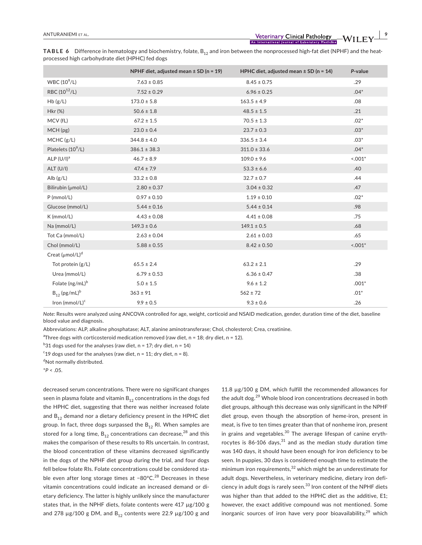**TABLE 6** Difference in hematology and biochemistry, folate, B<sub>12</sub> and iron between the nonprocessed high-fat diet (NPHF) and the heatprocessed high carbohydrate diet (HPHC) fed dogs

|                               | NPHF diet, adjusted mean ± SD (n = 19) | HPHC diet, adjusted mean $\pm$ SD (n = 14) | P-value   |
|-------------------------------|----------------------------------------|--------------------------------------------|-----------|
| WBC $(10^9/L)$                | $7.63 \pm 0.85$                        | $8.45 \pm 0.75$                            | .29       |
| RBC $(10^{12}/L)$             | $7.52 \pm 0.29$                        | $6.96 \pm 0.25$                            | $.04*$    |
| Hb(g/L)                       | $173.0 \pm 5.8$                        | $163.5 \pm 4.9$                            | .08       |
| Hkr (%)                       | $50.6 \pm 1.8$                         | $48.5 \pm 1.5$                             | .21       |
| MCV (fL)                      | $67.2 \pm 1.5$                         | $70.5 \pm 1.3$                             | $.02*$    |
| MCH (pg)                      | $23.0 \pm 0.4$                         | $23.7 \pm 0.3$                             | $.03*$    |
| MCHC (g/L)                    | $344.8 \pm 4.0$                        | $336.5 \pm 3.4$                            | $.03*$    |
| Platelets $(10^9/L)$          | $386.1 \pm 38.3$                       | $311.0 \pm 33.6$                           | $.04*$    |
| ALP $(U/I)^a$                 | $46.7 \pm 8.9$                         | $109.0 \pm 9.6$                            | $< 0.01*$ |
| ALT (U/I)                     | $47.4 \pm 7.9$                         | $53.3 \pm 6.6$                             | .40       |
| Alb $(g/L)$                   | $33.2 \pm 0.8$                         | $32.7 \pm 0.7$                             | .44       |
| Bilirubin (µmol/L)            | $2.80 \pm 0.37$                        | $3.04 \pm 0.32$                            | .47       |
| $P$ (mmol/L)                  | $0.97 \pm 0.10$                        | $1.19 \pm 0.10$                            | $.02*$    |
| Glucose (mmol/L)              | $5.44 \pm 0.16$                        | $5.44 \pm 0.14$                            | .98       |
| K (mmol/L)                    | $4.43 \pm 0.08$                        | $4.41 \pm 0.08$                            | .75       |
| Na (mmol/L)                   | $149.3 \pm 0.6$                        | $149.1 \pm 0.5$                            | .68       |
| Tot Ca (mmol/L)               | $2.63 \pm 0.04$                        | $2.61 \pm 0.03$                            | .65       |
| Chol (mmol/L)                 | $5.88 \pm 0.55$                        | $8.42 \pm 0.50$                            | $< .001*$ |
| Creat $(\mu \text{mol/L})^d$  |                                        |                                            |           |
| Tot protein (g/L)             | $65.5 \pm 2.4$                         | $63.2 \pm 2.1$                             | .29       |
| Urea (mmol/L)                 | $6.79 \pm 0.53$                        | $6.36 \pm 0.47$                            | .38       |
| Folate (ng/mL) <sup>b</sup>   | $5.0 \pm 1.5$                          | $9.6 \pm 1.2$                              | $.001*$   |
| $B_{12}$ (pg/mL) <sup>b</sup> | $363 \pm 91$                           | $562 \pm 72$                               | $.01*$    |
| Iron (mmol/L) <sup>c</sup>    | $9.9 \pm 0.5$                          | $9.3 \pm 0.6$                              | .26       |

*Note:* Results were analyzed using ANCOVA controlled for age, weight, corticoid and NSAID medication, gender, duration time of the diet, baseline blood value and diagnosis.

Abbreviations: ALP, alkaline phosphatase; ALT, alanine aminotransferase; Chol, cholesterol; Crea, creatinine.

<sup>a</sup>Three dogs with corticosteroid medication removed (raw diet,  $n = 18$ ; dry diet,  $n = 12$ ).

 $^{b}$ 31 dogs used for the analyses (raw diet, n = 17; dry diet, n = 14)

<sup>c</sup>19 dogs used for the analyses (raw diet,  $n = 11$ ; dry diet,  $n = 8$ ).

<sup>d</sup>Not normally distributed.

\**P* < .05.

decreased serum concentrations. There were no significant changes seen in plasma folate and vitamin  $B_{12}$  concentrations in the dogs fed the HPHC diet, suggesting that there was neither increased folate and  $B_{12}$  demand nor a dietary deficiency present in the HPHC diet group. In fact, three dogs surpassed the  $B_{12}$  RI. When samples are stored for a long time,  $B_{12}$  concentrations can decrease,<sup>28</sup> and this makes the comparison of these results to RIs uncertain. In contrast, the blood concentration of these vitamins decreased significantly in the dogs of the NPHF diet group during the trial, and four dogs fell below folate RIs. Folate concentrations could be considered stable even after long storage times at −80°C.<sup>28</sup> Decreases in these vitamin concentrations could indicate an increased demand or dietary deficiency. The latter is highly unlikely since the manufacturer states that, in the NPHF diets, folate contents were 417 µg/100 g and 278  $\mu$ g/100 g DM, and B<sub>12</sub> contents were 22.9  $\mu$ g/100 g and 11.8 µg/100 g DM, which fulfill the recommended allowances for the adult dog.<sup>29</sup> Whole blood iron concentrations decreased in both diet groups, although this decrease was only significant in the NPHF diet group, even though the absorption of heme-iron, present in meat, is five to ten times greater than that of nonheme iron, present in grains and vegetables.<sup>30</sup> The average lifespan of canine erythrocytes is 86-106 days,  $31$  and as the median study duration time was 140 days, it should have been enough for iron deficiency to be seen. In puppies, 30 days is considered enough time to estimate the minimum iron requirements, $32$  which might be an underestimate for adult dogs. Nevertheless, in veterinary medicine, dietary iron deficiency in adult dogs is rarely seen.<sup>33</sup> Iron content of the NPHF diets was higher than that added to the HPHC diet as the additive, E1; however, the exact additive compound was not mentioned. Some inorganic sources of iron have very poor bioavailability, $2^9$  which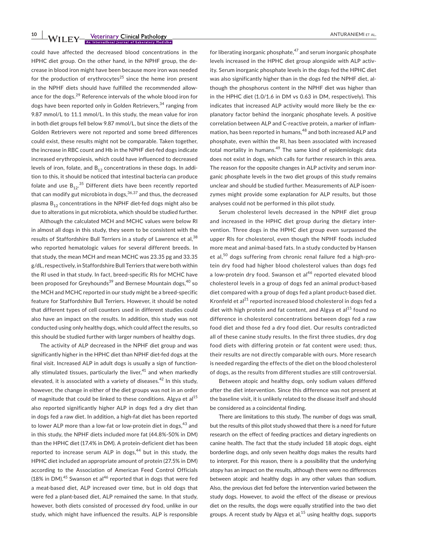**10 WILEY—<u>Veterinary Clinical Pathology</u>** ANTURANIEMI ET AL.

could have affected the decreased blood concentrations in the HPHC diet group. On the other hand, in the NPHF group, the decrease in blood iron might have been because more iron was needed for the production of erythrocytes<sup>25</sup> since the heme iron present in the NPHF diets should have fulfilled the recommended allowance for the dogs.<sup>29</sup> Reference intervals of the whole blood iron for dogs have been reported only in Golden Retrievers,<sup>34</sup> ranging from 9.87 mmol/L to 11.1 mmol/L. In this study, the mean value for iron in both diet groups fell below 9.87 mmol/L, but since the diets of the Golden Retrievers were not reported and some breed differences could exist, these results might not be comparable. Taken together, the increase in RBC count and Hb in the NPHF diet-fed dogs indicate increased erythropoiesis, which could have influenced to decreased levels of iron, folate, and  $B_{12}$  concentrations in these dogs. In addition to this, it should be noticed that intestinal bacteria can produce folate and use  $\mathsf{B_{12}}^{35}$  Different diets have been recently reported that can modify gut microbiota in dogs,  $36,37$  and thus, the decreased plasma  $B_{12}$  concentrations in the NPHF diet-fed dogs might also be due to alterations in gut microbiota, which should be studied further.

Although the calculated MCH and MCHC values were below RI in almost all dogs in this study, they seem to be consistent with the results of Staffordshire Bull Terriers in a study of Lawrence et al, 38 who reported hematologic values for several different breeds. In that study, the mean MCH and mean MCHC was 23.35 pg and 33.35 g/dL, respectively, in Staffordshire Bull Terriers that were both within the RI used in that study. In fact, breed-specific RIs for MCHC have been proposed for Greyhounds<sup>39</sup> and Bernese Mountain dogs, <sup>40</sup> so the MCH and MCHC reported in our study might be a breed-specific feature for Staffordshire Bull Terriers. However, it should be noted that different types of cell counters used in different studies could also have an impact on the results. In addition, this study was not conducted using only healthy dogs, which could affect the results, so this should be studied further with larger numbers of healthy dogs.

The activity of ALP decreased in the NPHF diet group and was significantly higher in the HPHC diet than NPHF diet-fed dogs at the final visit. Increased ALP in adult dogs is usually a sign of functionally stimulated tissues, particularly the liver, $41$  and when markedly elevated, it is associated with a variety of diseases.<sup>42</sup> In this study, however, the change in either of the diet groups was not in an order of magnitude that could be linked to these conditions. Algya et al $^{15}$ also reported significantly higher ALP in dogs fed a dry diet than in dogs fed a raw diet. In addition, a high-fat diet has been reported to lower ALP more than a low-fat or low-protein diet in dogs,<sup>43</sup> and in this study, the NPHF diets included more fat (44.8%-50% in DM) than the HPHC diet (17.4% in DM). A protein-deficient diet has been reported to increase serum ALP in dogs,  $44$  but in this study, the HPHC diet included an appropriate amount of protein (27.5% in DM) according to the Association of American Feed Control Officials (18% in DM).<sup>45</sup> Swanson et al<sup>46</sup> reported that in dogs that were fed a meat-based diet, ALP increased over time, but in old dogs that were fed a plant-based diet, ALP remained the same. In that study, however, both diets consisted of processed dry food, unlike in our study, which might have influenced the results. ALP is responsible

for liberating inorganic phosphate,<sup>47</sup> and serum inorganic phosphate levels increased in the HPHC diet group alongside with ALP activity. Serum inorganic phosphate levels in the dogs fed the HPHC diet was also significantly higher than in the dogs fed the NPHF diet, although the phosphorus content in the NPHF diet was higher than in the HPHC diet (1.0/1.6 in DM vs 0.63 in DM, respectively). This indicates that increased ALP activity would more likely be the explanatory factor behind the inorganic phosphate levels. A positive correlation between ALP and C-reactive protein, a marker of inflammation, has been reported in humans, $^{48}$  and both increased ALP and phosphate, even within the RI, has been associated with increased total mortality in humans.<sup>49</sup> The same kind of epidemiologic data does not exist in dogs, which calls for further research in this area. The reason for the opposite changes in ALP activity and serum inorganic phosphate levels in the two diet groups of this study remains unclear and should be studied further. Measurements of ALP isoenzymes might provide some explanation for ALP results, but those analyses could not be performed in this pilot study.

Serum cholesterol levels decreased in the NPHF diet group and increased in the HPHC diet group during the dietary intervention. Three dogs in the HPHC diet group even surpassed the upper RIs for cholesterol, even though the NPHF foods included more meat and animal-based fats. In a study conducted by Hansen et al, $50$  dogs suffering from chronic renal failure fed a high-protein dry food had higher blood cholesterol values than dogs fed a low-protein dry food. Swanson et al<sup>46</sup> reported elevated blood cholesterol levels in a group of dogs fed an animal product-based diet compared with a group of dogs fed a plant product-based diet. Kronfeld et al<sup>21</sup> reported increased blood cholesterol in dogs fed a diet with high protein and fat content, and Algya et al<sup>15</sup> found no difference in cholesterol concentrations between dogs fed a raw food diet and those fed a dry food diet. Our results contradicted all of these canine study results. In the first three studies, dry dog food diets with differing protein or fat content were used; thus, their results are not directly comparable with ours. More research is needed regarding the effects of the diet on the blood cholesterol of dogs, as the results from different studies are still controversial.

Between atopic and healthy dogs, only sodium values differed after the diet intervention. Since this difference was not present at the baseline visit, it is unlikely related to the disease itself and should be considered as a coincidental finding.

There are limitations to this study. The number of dogs was small, but the results of this pilot study showed that there is a need for future research on the effect of feeding practices and dietary ingredients on canine health. The fact that the study included 18 atopic dogs, eight borderline dogs, and only seven healthy dogs makes the results hard to interpret. For this reason, there is a possibility that the underlying atopy has an impact on the results, although there were no differences between atopic and healthy dogs in any other values than sodium. Also, the previous diet fed before the intervention varied between the study dogs. However, to avoid the effect of the disease or previous diet on the results, the dogs were equally stratified into the two diet groups. A recent study by Algya et al, $^{15}$  using healthy dogs, supports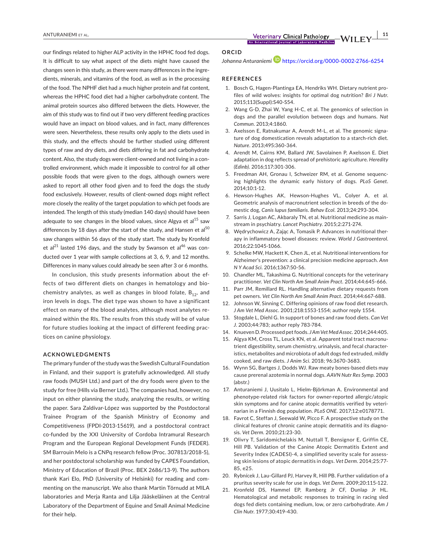our findings related to higher ALP activity in the HPHC food fed dogs. It is difficult to say what aspect of the diets might have caused the changes seen in this study, as there were many differences in the ingredients, minerals, and vitamins of the food, as well as in the processing of the food. The NPHF diet had a much higher protein and fat content, whereas the HPHC food diet had a higher carbohydrate content. The animal protein sources also differed between the diets. However, the aim of this study was to find out if two very different feeding practices would have an impact on blood values, and in fact, many differences were seen. Nevertheless, these results only apply to the diets used in this study, and the effects should be further studied using different types of raw and dry diets, and diets differing in fat and carbohydrate content. Also, the study dogs were client-owned and not living in a controlled environment, which made it impossible to control for all other possible foods that were given to the dogs, although owners were asked to report all other food given and to feed the dogs the study food exclusively. However, results of client-owned dogs might reflect more closely the reality of the target population to which pet foods are intended. The length of this study (median 140 days) should have been adequate to see changes in the blood values, since Algya et al<sup>15</sup> saw differences by 18 days after the start of the study, and Hansen et al<sup>50</sup> saw changes within 56 days of the study start. The study by Kronfeld et al<sup>21</sup> lasted 196 days, and the study by Swanson et al<sup>46</sup> was conducted over 1 year with sample collections at 3, 6, 9, and 12 months. Differences in many values could already be seen after 3 or 6 months.

In conclusion, this study presents information about the effects of two different diets on changes in hematology and biochemistry analytes, as well as changes in blood folate,  $B_{12}$ , and iron levels in dogs. The diet type was shown to have a significant effect on many of the blood analytes, although most analytes remained within the RIs. The results from this study will be of value for future studies looking at the impact of different feeding practices on canine physiology.

### **ACKNOWLEDGMENTS**

The primary funder of the study was the Swedish Cultural Foundation in Finland, and their support is gratefully acknowledged. All study raw foods (MUSH Ltd.) and part of the dry foods were given to the study for free (Hills via Berner Ltd.). The companies had, however, no input on either planning the study, analyzing the results, or writing the paper. Sara Zaldívar-López was supported by the Postdoctoral Trainee Program of the Spanish Ministry of Economy and Competitiveness (FPDI-2013-15619), and a postdoctoral contract co-funded by the XXI University of Cordoba Intramural Research Program and the European Regional Development Funds (FEDER). SM Barrouin Melo is a CNPq research fellow (Proc. 307813/2018-5), and her postdoctoral scholarship was funded by CAPES Foundation, Ministry of Education of Brazil (Proc. BEX 2686/13-9). The authors thank Kari Elo, PhD (University of Helsinki) for reading and commenting on the manuscript. We also thank Martin Törnudd at MILA laboratories and Merja Ranta and Lilja Jääskeläinen at the Central Laboratory of the Department of Equine and Small Animal Medicine for their help.

**ANTURANIEMI** ET AL. **11**<br>An International Journal of Laboratory Medicine  $\blacksquare$  **WILEY**  $\frac{11}{\blacksquare}$ 

### **ORCID**

*Johanna Anturaniemi* https://orcid.org/0000-0002-2766-6254

### **REFERENCES**

- 1. Bosch G, Hagen-Plantinga EA, Hendriks WH. Dietary nutrient profiles of wild wolves: insights for optimal dog nutrition? *Bri J Nutr*. 2015;113(Suppl):S40-S54.
- 2. Wang G-D, Zhai W, Yang H-C, et al. The genomics of selection in dogs and the parallel evolution between dogs and humans. *Nat Commun*. 2013;4:1860.
- 3. Axelsson E, Ratnakumar A, Arendt M-L, et al. The genomic signature of dog domestication reveals adaptation to a starch-rich diet. *Nature*. 2013;495:360-364.
- 4. Arendt M, Cairns KM, Ballard JW, Savolainen P, Axelsson E. Diet adaptation in dog reflects spread of prehistoric agriculture. *Heredity (Edinb)*. 2016;117:301-306.
- 5. Freedman AH, Gronau I, Schweizer RM, et al. Genome sequencing highlights the dynamic early history of dogs. *PLoS Genet*. 2014;10:1-12.
- 6. Hewson-Hughes AK, Hewson-Hughes VL, Colyer A, et al. Geometric analysis of macronutrient selection in breeds of the domestic dog, *Canis lupus familiaris*. *Behav Ecol*. 2013;24:293-304.
- 7. Sarris J, Logan AC, Akbaraly TN, et al. Nutritional medicine as mainstream in psychiatry. *Lancet Psychiatry*. 2015;2:271-274.
- 8. Wędrychowicz A, Zając A, Tomasik P. Advances in nutritional therapy in inflammatory bowel diseases: review. *World J Gastroenterol*. 2016;22:1045-1066.
- 9. Schelke MW, Hackett K, Chen JL, et al. Nutritional interventions for Alzheimer's prevention: a clinical precision medicine approach. *Ann N Y Acad Sci*. 2016;1367:50-56.
- 10. Chandler ML, Takashima G. Nutritional concepts for the veterinary practitioner. *Vet Clin North Am Small Anim Pract*. 2014;44:645-666.
- 11. Parr JM, Remillard RL. Handling alternative dietary requests from pet owners. *Vet Clin North Am Small Anim Pract*. 2014;44:667-688.
- 12. Johnson W, Sinning C. Differing opinions of raw food diet research. *J Am Vet Med Assoc*. 2001;218:1553-1554; author reply 1554.
- 13. Stogdale L, Diehl G. In support of bones and raw food diets. *Can Vet J*. 2003;44:783; author reply 783-784.
- 14. Knueven D. Processed pet foods. *J Am Vet Med Assoc*. 2014;244:405.
- 15. Algya KM, Cross TL, Leuck KN, et al. Apparent total tract macronutrient digestibility, serum chemistry, urinalysis, and fecal characteristics, metabolites and microbiota of adult dogs fed extruded, mildly cooked, and raw diets. *J Anim Sci*. 2018; 96:3670-3683.
- 16. Wynn SG, Bartges J, Dodds WJ. Raw meaty bones-based diets may cause prerenal azotemia in normal dogs. *AAVN Nutr Res Symp*. 2003 (abstr.)
- 17. Anturaniemi J, Uusitalo L, Hielm-Björkman A. Environmental and phenotype-related risk factors for owner-reported allergic/atopic skin symptoms and for canine atopic dermatitis verified by veterinarian in a Finnish dog population. *PLoS ONE*. 2017;12:e0178771.
- 18. Favrot C, Steffan J, Seewald W, Picco F. A prospective study on the clinical features of chronic canine atopic dermatitis and its diagnosis. *Vet Derm*. 2010;21:23-30.
- 19. Olivry T, Saridomichelakis M, Nuttall T, Bensignor E, Griffin CE, Hill PB. Validation of the Canine Atopic Dermatitis Extent and Severity Index (CADESI)-4, a simplified severity scale for assessing skin lesions of atopic dermatitis in dogs. *Vet Derm*. 2014;25:77- 85, e25.
- 20. Rybnícek J, Lau-Gillard PJ, Harvey R, Hill PB. Further validation of a pruritus severity scale for use in dogs. *Vet Derm*. 2009;20:115-122.
- 21. Kronfeld DS, Hammel EP, Ramberg Jr CF, Dunlap Jr HL. Hematological and metabolic responses to training in racing sled dogs fed diets containing medium, low, or zero carbohydrate. *Am J Clin Nutr*. 1977;30:419-430.